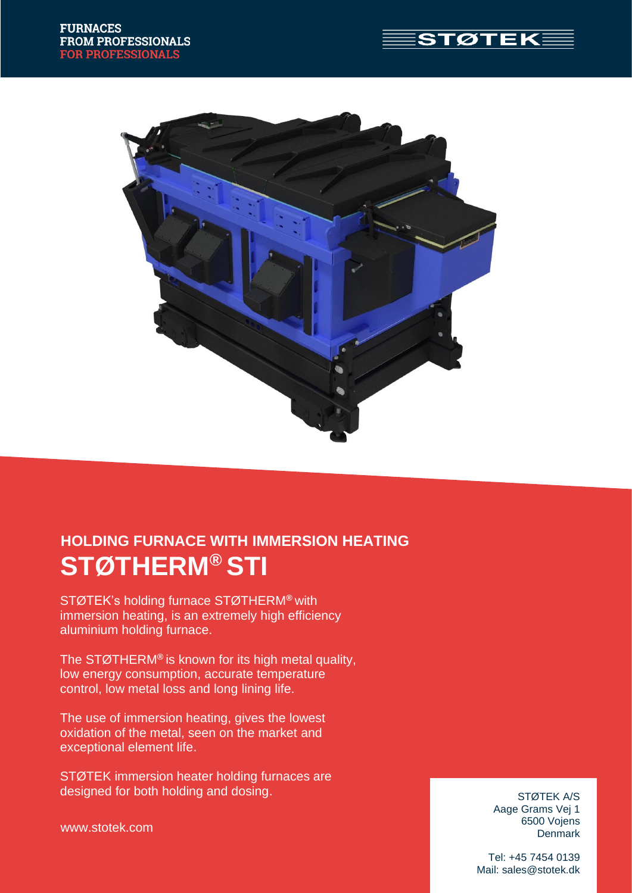



## **HOLDING FURNACE WITH IMMERSION HEATING STØTHERM® STI**

STØTEK's holding furnace STØTHERM**®** with immersion heating, is an extremely high efficiency aluminium holding furnace.

The STØTHERM**®** is known for its high metal quality, low energy consumption, accurate temperature control, low metal loss and long lining life.

The use of immersion heating, gives the lowest oxidation of the metal, seen on the market and exceptional element life.

STØTEK immersion heater holding furnaces are designed for both holding and dosing.

www.stotek.com

STØTEK A/S Aage Grams Vej 1 6500 Vojens **Denmark** 

Tel: +45 7454 0139 Mail: [sales@stotek.dk](mailto:sales@stotek.dk)